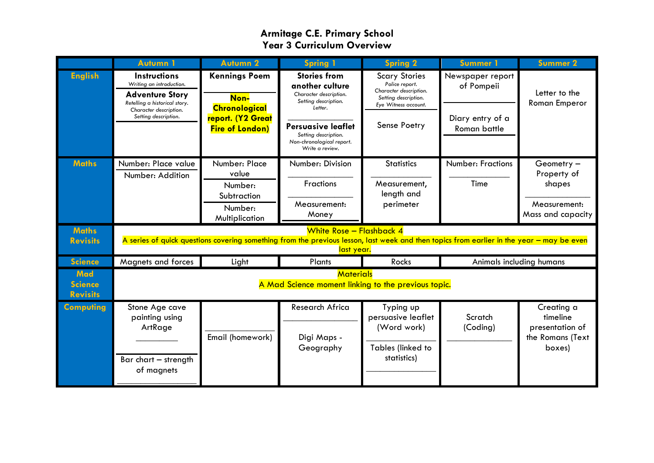|                                                 | <b>Autumn 1</b>                                                                                                                                                                     | Autumn <sub>2</sub>                                  | <b>Spring 1</b>                                                                                     | <b>Spring 2</b>                                                                                                  | Summer 1                                      | <b>Summer 2</b>                             |
|-------------------------------------------------|-------------------------------------------------------------------------------------------------------------------------------------------------------------------------------------|------------------------------------------------------|-----------------------------------------------------------------------------------------------------|------------------------------------------------------------------------------------------------------------------|-----------------------------------------------|---------------------------------------------|
| <b>English</b>                                  | <b>Instructions</b><br>Writing an introduction.<br><b>Adventure Story</b><br>Retelling a historical story.<br>Character description.                                                | <b>Kennings Poem</b><br>Non-<br><b>Chronological</b> | <b>Stories from</b><br>another culture<br>Character description.<br>Setting description.<br>Letter. | <b>Scary Stories</b><br>Police report.<br>Character description.<br>Setting description.<br>Eye Witness account. | Newspaper report<br>of Pompeii                | Letter to the<br><b>Roman Emperor</b>       |
|                                                 | Setting description.                                                                                                                                                                | report. (Y2 Great<br><b>Fire of London)</b>          | <b>Persuasive leaflet</b><br>Setting description.<br>Non-chronological report.<br>Write a review.   | Sense Poetry                                                                                                     | Diary entry of a<br>Roman battle              |                                             |
| <b>Maths</b>                                    | Number: Place value<br>Number: Addition                                                                                                                                             | Number: Place<br>value                               | Number: Division                                                                                    | <b>Statistics</b>                                                                                                | <b>Number: Fractions</b>                      | Geometry-<br>Property of                    |
|                                                 |                                                                                                                                                                                     | Number:<br>Subtraction<br>Number:<br>Multiplication  | Fractions<br>Measurement:<br>Money                                                                  | Measurement,<br>length and<br>perimeter                                                                          | Time                                          | shapes<br>Measurement:<br>Mass and capacity |
| <b>Maths</b><br><b>Revisits</b>                 | White Rose - Flashback 4<br>A series of quick questions covering something from the previous lesson, last week and then topics from earlier in the year – may be even<br>last year. |                                                      |                                                                                                     |                                                                                                                  |                                               |                                             |
| <b>Science</b>                                  | Magnets and forces                                                                                                                                                                  | Light                                                | Plants                                                                                              | Rocks                                                                                                            | Animals including humans                      |                                             |
| <b>Mad</b><br><b>Science</b><br><b>Revisits</b> | <b>Materials</b><br>A Mad Science moment linking to the previous topic.                                                                                                             |                                                      |                                                                                                     |                                                                                                                  |                                               |                                             |
| <b>Computing</b>                                | Stone Age cave<br>painting using                                                                                                                                                    |                                                      | Research Africa                                                                                     | Typing up<br>persuasive leaflet                                                                                  | Scratch                                       | Creating a<br>timeline                      |
|                                                 | ArtRage<br>Email (homework)<br>Bar chart - strength<br>of magnets                                                                                                                   | Digi Maps -<br>Geography                             | (Word work)<br>Tables (linked to<br>statistics)                                                     | (Coding)                                                                                                         | presentation of<br>the Romans (Text<br>boxes) |                                             |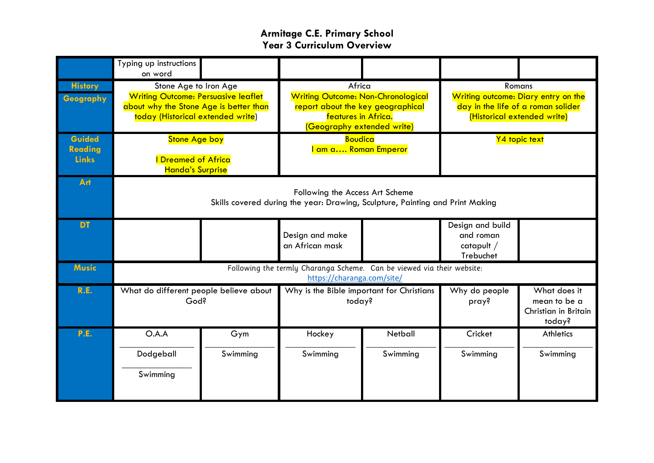|                                          | Typing up instructions<br>on word                                                                                                                  |          |                                                                                                                                               |          |                                                                                                                    |                                                                |  |
|------------------------------------------|----------------------------------------------------------------------------------------------------------------------------------------------------|----------|-----------------------------------------------------------------------------------------------------------------------------------------------|----------|--------------------------------------------------------------------------------------------------------------------|----------------------------------------------------------------|--|
| <b>History</b><br>Geography              | Stone Age to Iron Age<br><b>Writing Outcome: Persuasive leaflet</b><br>about why the Stone Age is better than<br>today (Historical extended write) |          | Africa<br><b>Writing Outcome: Non-Chronological</b><br>report about the key geographical<br>features in Africa.<br>(Geography extended write) |          | Romans<br>Writing outcome: Diary entry on the<br>day in the life of a roman solider<br>(Historical extended write) |                                                                |  |
| Guided<br><b>Reading</b><br><b>Links</b> | <b>Stone Age boy</b><br><b>Dreamed of Africa</b><br><b>Handa's Surprise</b>                                                                        |          | <b>Boudica</b><br><mark>l am a Roman Emperor</mark>                                                                                           |          | Y4 topic text                                                                                                      |                                                                |  |
| Art                                      | Following the Access Art Scheme<br>Skills covered during the year: Drawing, Sculpture, Painting and Print Making                                   |          |                                                                                                                                               |          |                                                                                                                    |                                                                |  |
| <b>DT</b>                                |                                                                                                                                                    |          | Design and make<br>an African mask                                                                                                            |          | Design and build<br>and roman<br>catapult /<br>Trebuchet                                                           |                                                                |  |
| <b>Music</b>                             | Following the termly Charanga Scheme. Can be viewed via their website:<br>https://charanga.com/site/                                               |          |                                                                                                                                               |          |                                                                                                                    |                                                                |  |
| R.E.                                     | What do different people believe about<br>God?                                                                                                     |          | Why is the Bible important for Christians<br>today?                                                                                           |          | Why do people<br>pray?                                                                                             | What does it<br>mean to be a<br>Christian in Britain<br>today? |  |
| P.E.                                     | O.A.A                                                                                                                                              | Gym      | Hockey                                                                                                                                        | Netball  | Cricket                                                                                                            | <b>Athletics</b>                                               |  |
|                                          | Dodgeball                                                                                                                                          | Swimming | Swimming                                                                                                                                      | Swimming | Swimming                                                                                                           | Swimming                                                       |  |
|                                          | Swimming                                                                                                                                           |          |                                                                                                                                               |          |                                                                                                                    |                                                                |  |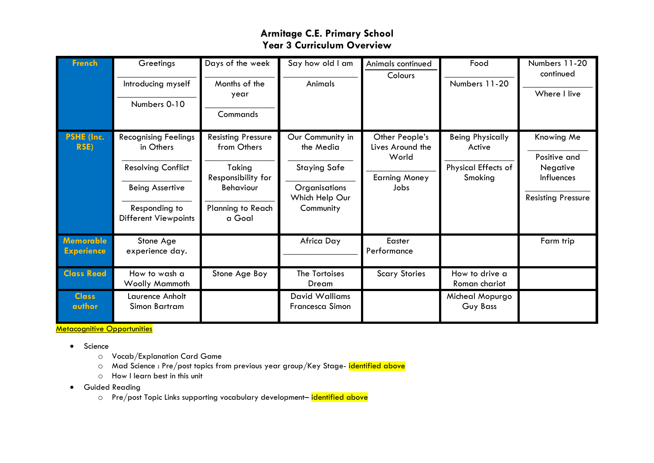| <b>French</b>                         | Greetings<br>Introducing myself<br>Numbers 0-10                                                                                                 | Days of the week<br>Months of the<br>year<br>Commands                                                                       | Say how old I am<br>Animals                                                                          | Animals continued<br>Colours                                                | Food<br>Numbers 11-20                                                      | Numbers 11-20<br>continued<br>Where I live                                        |
|---------------------------------------|-------------------------------------------------------------------------------------------------------------------------------------------------|-----------------------------------------------------------------------------------------------------------------------------|------------------------------------------------------------------------------------------------------|-----------------------------------------------------------------------------|----------------------------------------------------------------------------|-----------------------------------------------------------------------------------|
| <b>PSHE (Inc.</b><br><b>RSE)</b>      | <b>Recognising Feelings</b><br>in Others<br><b>Resolving Conflict</b><br><b>Being Assertive</b><br>Responding to<br><b>Different Viewpoints</b> | <b>Resisting Pressure</b><br>from Others<br>Taking<br>Responsibility for<br><b>Behaviour</b><br>Planning to Reach<br>a Goal | Our Community in<br>the Media<br><b>Staying Safe</b><br>Organisations<br>Which Help Our<br>Community | Other People's<br>Lives Around the<br>World<br><b>Earning Money</b><br>Jobs | <b>Being Physically</b><br>Active<br><b>Physical Effects of</b><br>Smoking | Knowing Me<br>Positive and<br>Negative<br>Influences<br><b>Resisting Pressure</b> |
| <b>Memorable</b><br><b>Experience</b> | Stone Age<br>experience day.                                                                                                                    |                                                                                                                             | Africa Day                                                                                           | Easter<br>Performance                                                       |                                                                            | Farm trip                                                                         |
| <b>Class Read</b>                     | How to wash a<br><b>Woolly Mammoth</b>                                                                                                          | Stone Age Boy                                                                                                               | The Tortoises<br>Dream                                                                               | <b>Scary Stories</b>                                                        | How to drive a<br>Roman chariot                                            |                                                                                   |
| <b>Class</b><br>author                | Laurence Anholt<br>Simon Bartram                                                                                                                |                                                                                                                             | <b>David Walliams</b><br><b>Francesca Simon</b>                                                      |                                                                             | Micheal Mopurgo<br>Guy Bass                                                |                                                                                   |

Metacognitive Opportunities

- Science
	- o Vocab/Explanation Card Game
	- o Mad Science : Pre/post topics from previous year group/Key Stage- identified above
	- o How I learn best in this unit
- **•** Guided Reading
	- o Pre/post Topic Links supporting vocabulary development-identified above